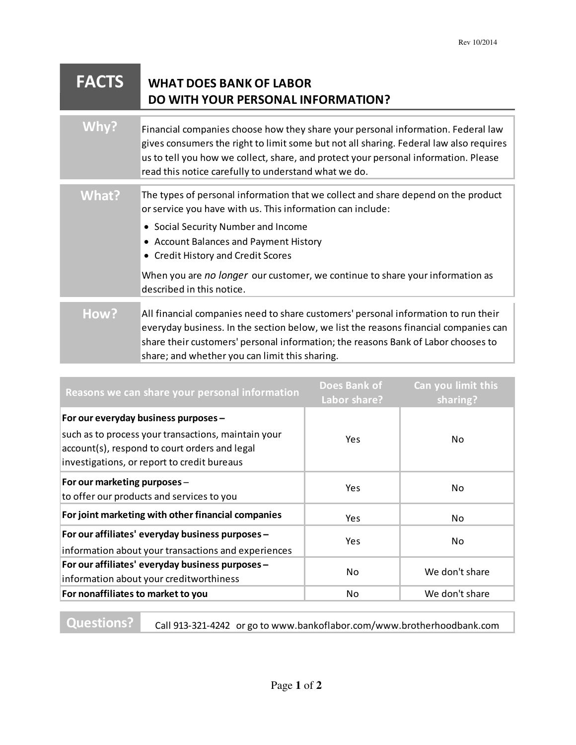## **FACTS WHAT DOES BANK OF LABOR DO WITH YOUR PERSONAL INFORMATION?**

| Why? | Financial companies choose how they share your personal information. Federal law       |
|------|----------------------------------------------------------------------------------------|
|      | gives consumers the right to limit some but not all sharing. Federal law also requires |
|      | us to tell you how we collect, share, and protect your personal information. Please    |
|      | read this notice carefully to understand what we do.                                   |
|      |                                                                                        |

**What?** The types of personal information that we collect and share depend on the product or service you have with us. This information can include:

- Social Security Number and Income
- Account Balances and Payment History
- Credit History and Credit Scores

When you are *no longer* our customer, we continue to share your information as described in this notice.

**How?** All financial companies need to share customers' personal information to run their everyday business. In the section below, we list the reasons financial companies can share their customers' personal information; the reasons Bank of Labor chooses to share; and whether you can limit this sharing.

| Reasons we can share your personal information                                                                                                                                              | Does Bank of<br>Labor share? | Can you limit this<br>sharing? |
|---------------------------------------------------------------------------------------------------------------------------------------------------------------------------------------------|------------------------------|--------------------------------|
| For our everyday business purposes -<br>such as to process your transactions, maintain your<br>account(s), respond to court orders and legal<br>investigations, or report to credit bureaus | Yes                          | No.                            |
| For our marketing purposes -<br>to offer our products and services to you                                                                                                                   | Yes.                         | No.                            |
| For joint marketing with other financial companies                                                                                                                                          | <b>Yes</b>                   | No                             |
| For our affiliates' everyday business purposes -<br>information about your transactions and experiences                                                                                     | Yes.                         | No.                            |
| For our affiliates' everyday business purposes-<br>information about your creditworthiness                                                                                                  | No.                          | We don't share                 |
| For nonaffiliates to market to you                                                                                                                                                          | No.                          | We don't share                 |

**Questions?** Call 913-321-4242 or go to www.bankoflabor.com/www.brotherhoodbank.com